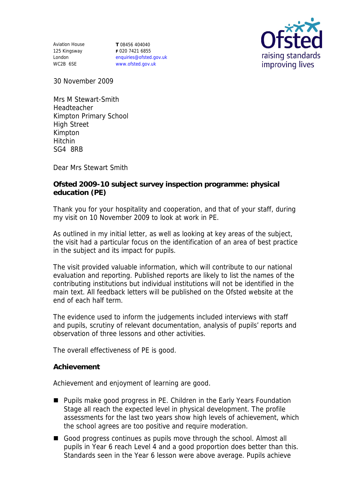Aviation House 125 Kingsway London WC2B 6SE

**T** 08456 404040 **F** 020 7421 6855 enquiries@ofsted.gov.uk www.ofsted.gov.uk



30 November 2009

Mrs M Stewart-Smith Headteacher Kimpton Primary School High Street Kimpton Hitchin SG4 8RB

Dear Mrs Stewart Smith

**Ofsted 2009-10 subject survey inspection programme: physical education (PE)**

Thank you for your hospitality and cooperation, and that of your staff, during my visit on 10 November 2009 to look at work in PE.

As outlined in my initial letter, as well as looking at key areas of the subject, the visit had a particular focus on the identification of an area of best practice in the subject and its impact for pupils.

The visit provided valuable information, which will contribute to our national evaluation and reporting. Published reports are likely to list the names of the contributing institutions but individual institutions will not be identified in the main text. All feedback letters will be published on the Ofsted website at the end of each half term.

The evidence used to inform the judgements included interviews with staff and pupils, scrutiny of relevant documentation, analysis of pupils' reports and observation of three lessons and other activities.

The overall effectiveness of PE is good.

## **Achievement**

Achievement and enjoyment of learning are good.

- Pupils make good progress in PE. Children in the Early Years Foundation Stage all reach the expected level in physical development. The profile assessments for the last two years show high levels of achievement, which the school agrees are too positive and require moderation.
- Good progress continues as pupils move through the school. Almost all pupils in Year 6 reach Level 4 and a good proportion does better than this. Standards seen in the Year 6 lesson were above average. Pupils achieve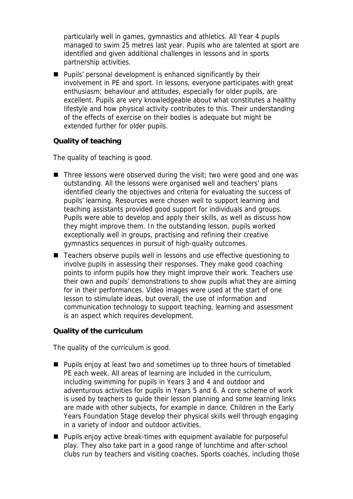particularly well in games, gymnastics and athletics. All Year 4 pupils managed to swim 25 metres last year. Pupils who are talented at sport are identified and given additional challenges in lessons and in sports partnership activities.

**Pupils' personal development is enhanced significantly by their** involvement in PE and sport. In lessons, everyone participates with great enthusiasm; behaviour and attitudes, especially for older pupils, are excellent. Pupils are very knowledgeable about what constitutes a healthy lifestyle and how physical activity contributes to this. Their understanding of the effects of exercise on their bodies is adequate but might be extended further for older pupils.

## **Quality of teaching**

The quality of teaching is good.

- $\blacksquare$  Three lessons were observed during the visit; two were good and one was outstanding. All the lessons were organised well and teachers' plans identified clearly the objectives and criteria for evaluating the success of pupils' learning. Resources were chosen well to support learning and teaching assistants provided good support for individuals and groups. Pupils were able to develop and apply their skills, as well as discuss how they might improve them. In the outstanding lesson, pupils worked exceptionally well in groups, practising and refining their creative gymnastics sequences in pursuit of high-quality outcomes.
- Teachers observe pupils well in lessons and use effective questioning to involve pupils in assessing their responses. They make good coaching points to inform pupils how they might improve their work. Teachers use their own and pupils' demonstrations to show pupils what they are aiming for in their performances. Video images were used at the start of one lesson to stimulate ideas, but overall, the use of information and communication technology to support teaching, learning and assessment is an aspect which requires development.

**Quality of the curriculum** 

The quality of the curriculum is good.

- Pupils enjoy at least two and sometimes up to three hours of timetabled PE each week. All areas of learning are included in the curriculum, including swimming for pupils in Years 3 and 4 and outdoor and adventurous activities for pupils in Years 5 and 6. A core scheme of work is used by teachers to guide their lesson planning and some learning links are made with other subjects, for example in dance. Children in the Early Years Foundation Stage develop their physical skills well through engaging in a variety of indoor and outdoor activities.
- Pupils enjoy active break-times with equipment available for purposeful play. They also take part in a good range of lunchtime and after-school clubs run by teachers and visiting coaches. Sports coaches, including those